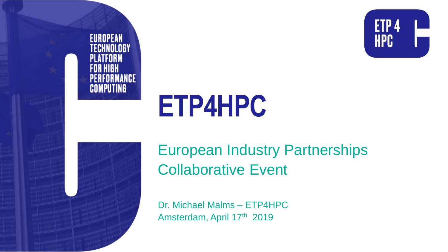



# **ETP4HPC**



European Industry Partnerships Collaborative Event

Dr. Michael Malms – ETP4HPC Amsterdam, April 17th 2019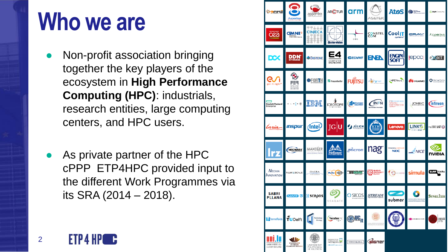## **Who we are**

- Non-profit association bringing together the key players of the ecosystem in **High Performance Computing (HPC)**: industrials, research entities, large computing centers, and HPC users.
- As private partner of the HPC cPPP ETP4HPC provided input to the different Work Programmes via its SRA (2014 – 2018).

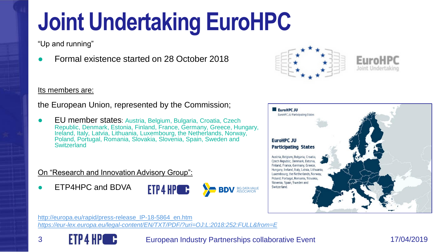# **Joint Undertaking EuroHPC**

"Up and running"

● Formal existence started on 28 October 2018



#### Its members are:

the European Union, represented by the Commission;

● EU member states: Austria, Belgium, Bulgaria, Croatia, Czech Republic, Denmark, Estonia, Finland, France, Germany, Greece, Hungary, Ireland, Italy, Latvia, Lithuania, Luxembourg, the Netherlands, Norway, Poland, Portugal, Romania, Slovakia, Slovenia, Spain, Sweden and **Switzerland** 

#### On "Research and Innovation Advisory Group":

ETP4HPC and BDVA





[http://europa.eu/rapid/press-release\\_IP-18-5864\\_en.htm](http://europa.eu/rapid/press-release_IP-18-5864_en.htm) *<https://eur-lex.europa.eu/legal-content/EN/TXT/PDF/?uri=OJ:L:2018:252:FULL&from=E>*



3 **FIP4 HP** C European Industry Partnerships collaborative Event 17/04/2019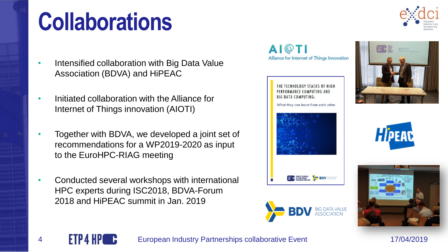# **Collaborations**

- Intensified collaboration with Big Data Value Association (BDVA) and HiPEAC
- Initiated collaboration with the Alliance for Internet of Things innovation (AIOTI)
- Together with BDVA, we developed a joint set of recommendations for a WP2019-2020 as input to the EuroHPC-RIAG meeting
- Conducted several workshops with international HPC experts during ISC2018, BDVA-Forum 2018 and HiPEAC summit in Jan. 2019







4 **ETP4 HPC C** European Industry Partnerships collaborative Event 17/04/2019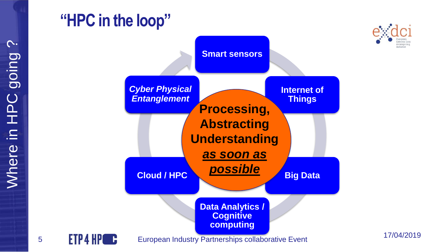### **"HPC in the loop"**



17/04/2019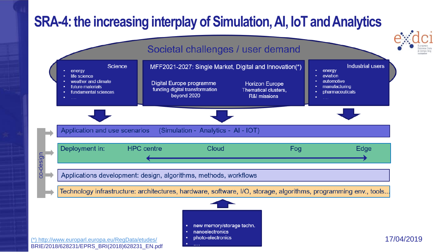#### **SRA-4: the increasing interplay of Simulation, AI, IoT and Analytics**

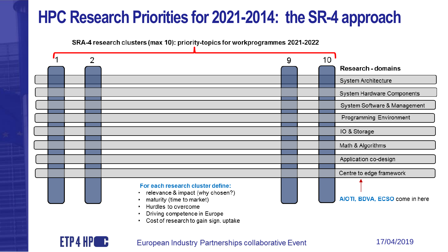## **HPC Research Priorities for 2021-2014: the SR-4 approach**

SRA-4 research clusters (max 10): priority-topics for workprogrammes 2021-2022



- Driving competence in Europe
- Cost of research to gain sign. uptake

**FTP 4 HP** C European Industry Partnerships collaborative Event 17/04/2019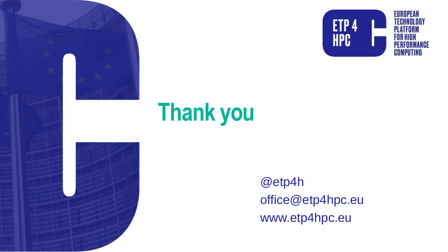



# **Thank you**

@etp4h office@etp4hpc.eu www.etp4hpc.eu